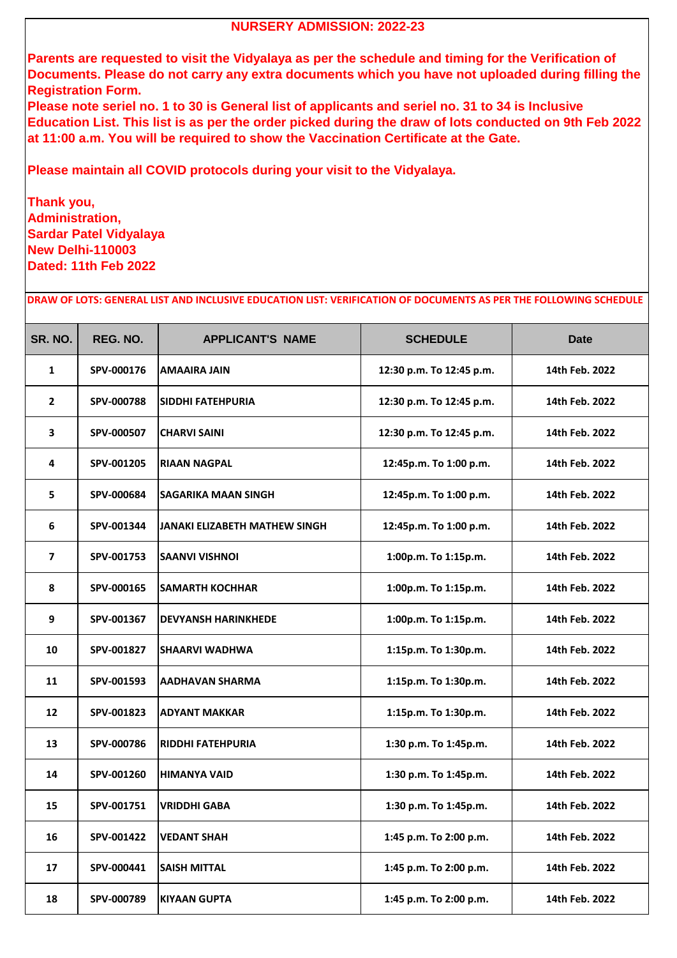| SR. NO.                 | REG. NO.   | <b>APPLICANT'S NAME</b>              | <b>SCHEDULE</b>          | <b>Date</b>    |
|-------------------------|------------|--------------------------------------|--------------------------|----------------|
| $\mathbf{1}$            | SPV-000176 | <b>AMAAIRA JAIN</b>                  | 12:30 p.m. To 12:45 p.m. | 14th Feb. 2022 |
| $\overline{2}$          | SPV-000788 | <b>SIDDHI FATEHPURIA</b>             | 12:30 p.m. To 12:45 p.m. | 14th Feb. 2022 |
| $\overline{\mathbf{3}}$ | SPV-000507 | <b>CHARVI SAINI</b>                  | 12:30 p.m. To 12:45 p.m. | 14th Feb. 2022 |
| $\overline{\mathbf{4}}$ | SPV-001205 | <b>RIAAN NAGPAL</b>                  | 12:45p.m. To 1:00 p.m.   | 14th Feb. 2022 |
| 5                       | SPV-000684 | <b>SAGARIKA MAAN SINGH</b>           | 12:45p.m. To 1:00 p.m.   | 14th Feb. 2022 |
| 6                       | SPV-001344 | <b>JANAKI ELIZABETH MATHEW SINGH</b> | 12:45p.m. To 1:00 p.m.   | 14th Feb. 2022 |
| $\overline{\mathbf{z}}$ | SPV-001753 | <b>SAANVI VISHNOI</b>                | 1:00p.m. To 1:15p.m.     | 14th Feb. 2022 |
| 8                       | SPV-000165 | <b>SAMARTH KOCHHAR</b>               | 1:00p.m. To 1:15p.m.     | 14th Feb. 2022 |
| 9                       | SPV-001367 | <b>DEVYANSH HARINKHEDE</b>           | 1:00p.m. To 1:15p.m.     | 14th Feb. 2022 |
| 10                      | SPV-001827 | <b>SHAARVI WADHWA</b>                | 1:15p.m. To 1:30p.m.     | 14th Feb. 2022 |
| 11                      | SPV-001593 | IAADHAVAN SHARMA                     | 1:15p.m. To 1:30p.m.     | 14th Feb. 2022 |
| 12                      | SPV-001823 | <b>ADYANT MAKKAR</b>                 | 1:15p.m. To 1:30p.m.     | 14th Feb. 2022 |
| 13                      | SPV-000786 | <b>RIDDHI FATEHPURIA</b>             | 1:30 p.m. To 1:45p.m.    | 14th Feb. 2022 |
| 14                      | SPV-001260 | <b>HIMANYA VAID</b>                  | 1:30 p.m. To 1:45p.m.    | 14th Feb. 2022 |
| 15                      | SPV-001751 | <b>VRIDDHI GABA</b>                  | 1:30 p.m. To 1:45p.m.    | 14th Feb. 2022 |
| 16                      | SPV-001422 | <b>VEDANT SHAH</b>                   | 1:45 p.m. To 2:00 p.m.   | 14th Feb. 2022 |
| 17                      | SPV-000441 | <b>SAISH MITTAL</b>                  | 1:45 p.m. To 2:00 p.m.   | 14th Feb. 2022 |
| 18                      | SPV-000789 | KIYAAN GUPTA                         | 1:45 p.m. To 2:00 p.m.   | 14th Feb. 2022 |

**DRAW OF LOTS: GENERAL LIST AND INCLUSIVE EDUCATION LIST: VERIFICATION OF DOCUMENTS AS PER THE FOLLOWING SCHEDULE**

## **NURSERY ADMISSION: 2022-23**

**Parents are requested to visit the Vidyalaya as per the schedule and timing for the Verification of Documents. Please do not carry any extra documents which you have not uploaded during filling the Registration Form.**

**Please note seriel no. 1 to 30 is General list of applicants and seriel no. 31 to 34 is Inclusive Education List. This list is as per the order picked during the draw of lots conducted on 9th Feb 2022 at 11:00 a.m. You will be required to show the Vaccination Certificate at the Gate.**

**Please maintain all COVID protocols during your visit to the Vidyalaya.**

**Thank you, Administration, Sardar Patel Vidyalaya New Delhi-110003 Dated: 11th Feb 2022**